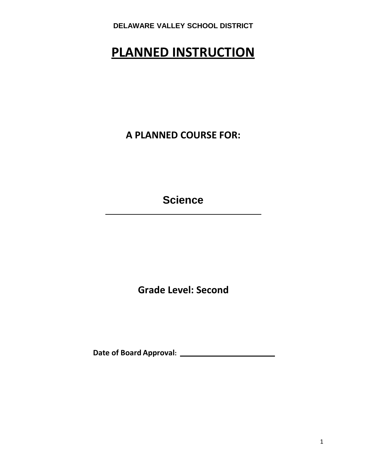# **PLANNED INSTRUCTION**

**A PLANNED COURSE FOR:**

**Science**

**Grade Level: Second**

**Date of Board Approval:**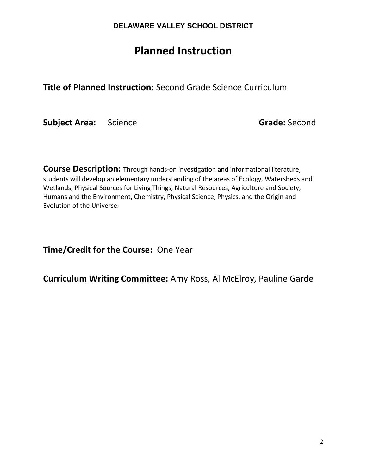## **Planned Instruction**

**Title of Planned Instruction:** Second Grade Science Curriculum

**Subject Area:** Science **Grade:** Second

**Course Description:** Through hands-on investigation and informational literature, students will develop an elementary understanding of the areas of Ecology, Watersheds and Wetlands, Physical Sources for Living Things, Natural Resources, Agriculture and Society, Humans and the Environment, Chemistry, Physical Science, Physics, and the Origin and Evolution of the Universe.

**Time/Credit for the Course:** One Year

**Curriculum Writing Committee:** Amy Ross, Al McElroy, Pauline Garde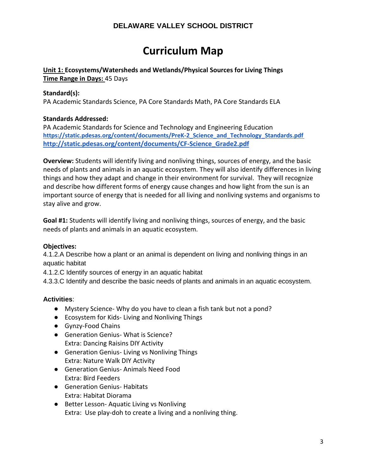## **Curriculum Map**

#### **Unit 1: Ecosystems/Watersheds and Wetlands/Physical Sources for Living Things Time Range in Days:** 45 Days

#### **Standard(s):**

PA Academic Standards Science, PA Core Standards Math, PA Core Standards ELA

#### **Standards Addressed:**

PA Academic Standards for Science and Technology and Engineering Education **[https://static.pdesas.org/content/documents/PreK-2\\_Science\\_and\\_Technology\\_Standards.pdf](https://static.pdesas.org/content/documents/PreK-2_Science_and_Technology_Standards.pdf) [http://static.pdesas.org/content/documents/CF-Science\\_Grade2.pdf](http://static.pdesas.org/content/documents/CF-Science_Grade1.pdf)**

**Overview:** Students will identify living and nonliving things, sources of energy, and the basic needs of plants and animals in an aquatic ecosystem. They will also identify differences in living things and how they adapt and change in their environment for survival. They will recognize and describe how different forms of energy cause changes and how light from the sun is an important source of energy that is needed for all living and nonliving systems and organisms to stay alive and grow.

**Goal #1:** Students will identify living and nonliving things, sources of energy, and the basic needs of plants and animals in an aquatic ecosystem.

#### **Objectives:**

4.1.2.A Describe how a plant or an animal is dependent on living and nonliving things in an aquatic habitat

4.1.2.C Identify sources of energy in an aquatic habitat

4.3.3.C Identify and describe the basic needs of plants and animals in an aquatic ecosystem.

#### **Activities**:

- Mystery Science- Why do you have to clean a fish tank but not a pond?
- Ecosystem for Kids- Living and Nonliving Things
- Gynzy-Food Chains
- Generation Genius- What is Science? Extra: Dancing Raisins DIY Activity
- Generation Genius- Living vs Nonliving Things Extra: Nature Walk DIY Activity
- Generation Genius- Animals Need Food Extra: Bird Feeders
- Generation Genius- Habitats Extra: Habitat Diorama
- Better Lesson- Aquatic Living vs Nonliving Extra: Use play-doh to create a living and a nonliving thing.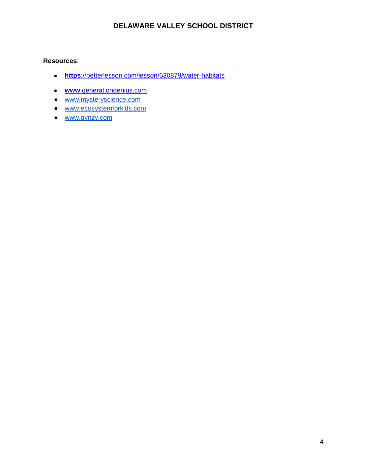#### **Resources**:

- **https**[://betterlesson.com/lesson/630879/water-habitats](https://betterlesson.com/lesson/630879/water-habitats)
- **www**[.generationgenius.com](http://www.generationgenius.com/)
- [www.mysteryscience.com](http://www.mysteryscience.com/)
- [www.ecosystemforkids.com](http://www.ecosystemforkids.com/)
- [www.gynzy.com](http://www.gynzy.com/)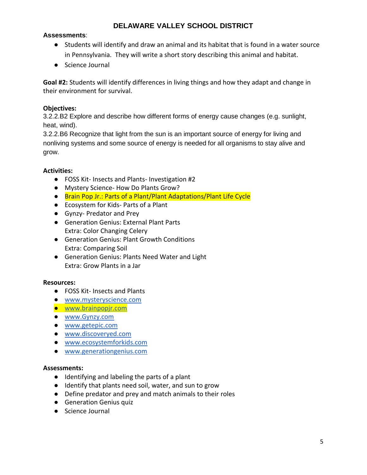#### **Assessments**:

- Students will identify and draw an animal and its habitat that is found in a water source in Pennsylvania. They will write a short story describing this animal and habitat.
- Science Journal

**Goal #2:** Students will identify differences in living things and how they adapt and change in their environment for survival.

#### **Objectives:**

3.2.2.B2 Explore and describe how different forms of energy cause changes (e.g. sunlight, heat, wind).

3.2.2.B6 Recognize that light from the sun is an important source of energy for living and nonliving systems and some source of energy is needed for all organisms to stay alive and grow.

#### **Activities:**

- FOSS Kit- Insects and Plants- Investigation #2
- Mystery Science- How Do Plants Grow?
- Brain Pop Jr.: Parts of a Plant/Plant Adaptations/Plant Life Cycle
- Ecosystem for Kids- Parts of a Plant
- Gynzy- Predator and Prey
- Generation Genius: External Plant Parts Extra: Color Changing Celery
- Generation Genius: Plant Growth Conditions Extra: Comparing Soil
- Generation Genius: Plants Need Water and Light Extra: Grow Plants in a Jar

#### **Resources:**

- FOSS Kit- Insects and Plants
- [www.mysteryscience.com](http://www.mysteryscience.com/)
- [www.brainpopjr.com](http://www.brainpopjr.com/)
- [www.Gynzy.com](http://www.gynzy.com/)
- [www.getepic.com](http://www.getepic.com/)
- [www.discoveryed.com](http://www.discoveryed.com/)
- [www.ecosystemforkids.com](http://www.ecosystemforkids.com/)
- www.generationgenius.com

- Identifying and labeling the parts of a plant
- Identify that plants need soil, water, and sun to grow
- Define predator and prey and match animals to their roles
- **•** Generation Genius quiz
- Science Journal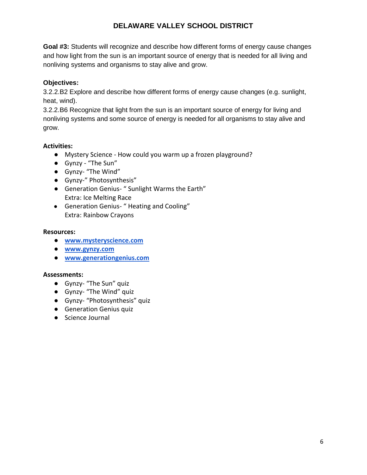**Goal #3:** Students will recognize and describe how different forms of energy cause changes and how light from the sun is an important source of energy that is needed for all living and nonliving systems and organisms to stay alive and grow.

#### **Objectives:**

3.2.2.B2 Explore and describe how different forms of energy cause changes (e.g. sunlight, heat, wind).

3.2.2.B6 Recognize that light from the sun is an important source of energy for living and nonliving systems and some source of energy is needed for all organisms to stay alive and grow.

#### **Activities:**

- Mystery Science How could you warm up a frozen playground?
- Gynzy "The Sun"
- Gynzy- "The Wind"
- Gynzy-" Photosynthesis"
- Generation Genius- " Sunlight Warms the Earth" Extra: Ice Melting Race
- Generation Genius- " Heating and Cooling" Extra: Rainbow Crayons

#### **Resources:**

- **● [www.mysteryscience.com](http://www.mysteryscience.com/)**
- **● [www.gynzy.com](http://www.gynzy.com/)**
- **● www.generationgenius.com**

- Gynzy- "The Sun" quiz
- Gynzy- "The Wind" quiz
- Gynzy- "Photosynthesis" quiz
- **•** Generation Genius quiz
- Science Journal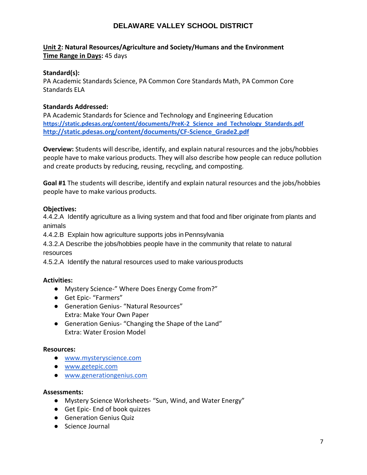#### **Unit 2: Natural Resources/Agriculture and Society/Humans and the Environment Time Range in Days:** 45 days

#### **Standard(s):**

PA Academic Standards Science, PA Common Core Standards Math, PA Common Core Standards ELA

#### **Standards Addressed:**

PA Academic Standards for Science and Technology and Engineering Education **[https://static.pdesas.org/content/documents/PreK-2\\_Science\\_and\\_Technology\\_Standards.pdf](https://static.pdesas.org/content/documents/PreK-2_Science_and_Technology_Standards.pdf) [http://static.pdesas.org/content/documents/CF-Science\\_Grade2.pdf](http://static.pdesas.org/content/documents/CF-Science_Grade1.pdf)**

**Overview:** Students will describe, identify, and explain natural resources and the jobs/hobbies people have to make various products. They will also describe how people can reduce pollution and create products by reducing, reusing, recycling, and composting.

**Goal #1** The students will describe, identify and explain natural resources and the jobs/hobbies people have to make various products.

#### **Objectives:**

4.4.2.A Identify agriculture as a living system and that food and fiber originate from plants and animals

4.4.2.B Explain how agriculture supports jobs inPennsylvania

4.3.2.A Describe the jobs/hobbies people have in the community that relate to natural resources

4.5.2.A Identify the natural resources used to make variousproducts

#### **Activities:**

- Mystery Science-" Where Does Energy Come from?"
- Get Epic- "Farmers"
- Generation Genius- "Natural Resources" Extra: Make Your Own Paper
- Generation Genius- "Changing the Shape of the Land" Extra: Water Erosion Model

#### **Resources:**

- [www.mysteryscience.com](http://www.mysteryscience.com/)
- [www.getepic.com](http://www.getepic.com/)
- www.generationgenius.com

- Mystery Science Worksheets- "Sun, Wind, and Water Energy"
- Get Epic- End of book quizzes
- Generation Genius Quiz
- Science Journal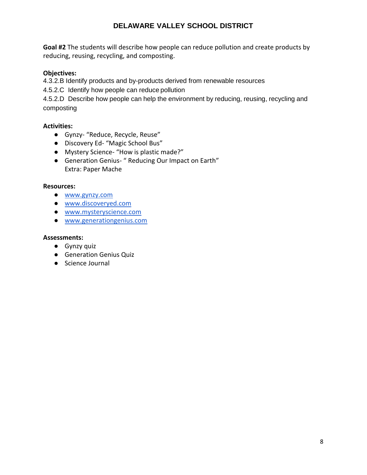**Goal #2** The students will describe how people can reduce pollution and create products by reducing, reusing, recycling, and composting.

#### **Objectives:**

4.3.2.B Identify products and by-products derived from renewable resources

4.5.2.C Identify how people can reduce pollution

4.5.2.D Describe how people can help the environment by reducing, reusing, recycling and composting

### **Activities:**

- Gynzy- "Reduce, Recycle, Reuse"
- Discovery Ed- "Magic School Bus"
- Mystery Science- "How is plastic made?"
- Generation Genius- " Reducing Our Impact on Earth" Extra: Paper Mache

#### **Resources:**

- [www.gynzy.com](http://www.gynzy.com/)
- [www.discoveryed.com](http://www.discoveryed.com/)
- [www.mysteryscience.com](http://www.mysteryscience.com/)
- www.generationgenius.com

- Gynzy quiz
- Generation Genius Quiz
- Science Journal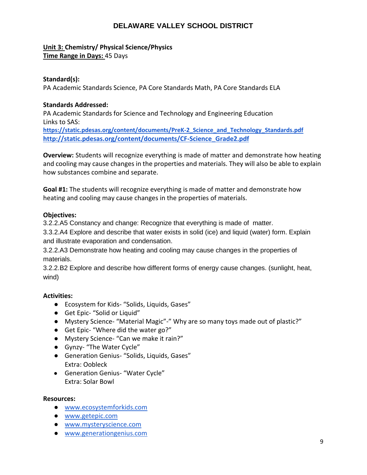#### **Unit 3: Chemistry/ Physical Science/Physics Time Range in Days:** 45 Days

#### **Standard(s):**

PA Academic Standards Science, PA Core Standards Math, PA Core Standards ELA

#### **Standards Addressed:**

PA Academic Standards for Science and Technology and Engineering Education Links to SAS:

**[https://static.pdesas.org/content/documents/PreK-2\\_Science\\_and\\_Technology\\_Standards.pdf](https://static.pdesas.org/content/documents/PreK-2_Science_and_Technology_Standards.pdf) [http://static.pdesas.org/content/documents/CF-Science\\_Grade2.pdf](http://static.pdesas.org/content/documents/CF-Science_Grade1.pdf)**

**Overview:** Students will recognize everything is made of matter and demonstrate how heating and cooling may cause changes in the properties and materials. They will also be able to explain how substances combine and separate.

**Goal #1:** The students will recognize everything is made of matter and demonstrate how heating and cooling may cause changes in the properties of materials.

#### **Objectives:**

3.2.2.A5 Constancy and change: Recognize that everything is made of matter.

3.3.2.A4 Explore and describe that water exists in solid (ice) and liquid (water) form. Explain and illustrate evaporation and condensation.

3.2.2.A3 Demonstrate how heating and cooling may cause changes in the properties of materials.

3.2.2.B2 Explore and describe how different forms of energy cause changes. (sunlight, heat, wind)

#### **Activities:**

- Ecosystem for Kids- "Solids, Liquids, Gases"
- Get Epic- "Solid or Liquid"
- Mystery Science- "Material Magic"-" Why are so many toys made out of plastic?"
- Get Epic- "Where did the water go?"
- Mystery Science- "Can we make it rain?"
- Gynzy- "The Water Cycle"
- Generation Genius- "Solids, Liquids, Gases" Extra: Oobleck
- Generation Genius- "Water Cycle" Extra: Solar Bowl

#### **Resources:**

- [www.ecosystemforkids.com](http://www.ecosystemforkids.com/)
- [www.getepic.com](http://www.getepic.com/)
- [www.mysteryscience.com](http://www.mysteryscience.com/)
- www.generationgenius.com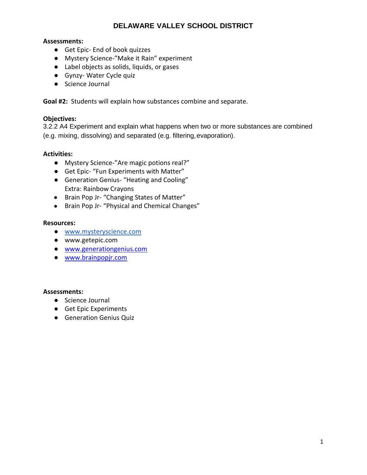#### **Assessments:**

- Get Epic- End of book quizzes
- Mystery Science-"Make it Rain" experiment
- Label objects as solids, liquids, or gases
- Gynzy- Water Cycle quiz
- Science Journal

**Goal #2:** Students will explain how substances combine and separate.

#### **Objectives:**

3.2.2 A4 Experiment and explain what happens when two or more substances are combined (e.g. mixing, dissolving) and separated (e.g. filtering,evaporation).

#### **Activities:**

- Mystery Science-"Are magic potions real?"
- Get Epic- "Fun Experiments with Matter"
- Generation Genius- "Heating and Cooling" Extra: Rainbow Crayons
- Brain Pop Jr- "Changing States of Matter"
- Brain Pop Jr- "Physical and Chemical Changes"

#### **Resources:**

- [www.mysteryscience.com](http://www.mysteryscience.com/)
- [www.getepic.com](http://www.getepic.com/)
- [www.generationgenius.com](http://www.generationgenius.com/)
- [www.brainpopjr.com](http://www.brainpopjr.com/)

- Science Journal
- Get Epic Experiments
- Generation Genius Quiz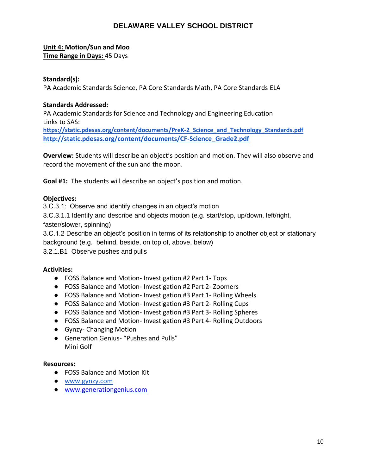#### **Unit 4: Motion/Sun and Moo Time Range in Days:** 45 Days

#### **Standard(s):**

PA Academic Standards Science, PA Core Standards Math, PA Core Standards ELA

#### **Standards Addressed:**

PA Academic Standards for Science and Technology and Engineering Education Links to SAS:

**[https://static.pdesas.org/content/documents/PreK-2\\_Science\\_and\\_Technology\\_Standards.pdf](https://static.pdesas.org/content/documents/PreK-2_Science_and_Technology_Standards.pdf) [http://static.pdesas.org/content/documents/CF-Science\\_Grade2.pdf](http://static.pdesas.org/content/documents/CF-Science_Grade1.pdf)**

**Overview:** Students will describe an object's position and motion. They will also observe and record the movement of the sun and the moon.

**Goal #1:** The students will describe an object's position and motion.

#### **Objectives:**

3.C.3.1: Observe and identify changes in an object's motion

3.C.3.1.1 Identify and describe and objects motion (e.g. start/stop, up/down, left/right,

faster/slower, spinning)

3.C.1.2 Describe an object's position in terms of its relationship to another object or stationary background (e.g. behind, beside, on top of, above, below)

3.2.1.B1 Observe pushes and pulls

#### **Activities:**

- FOSS Balance and Motion- Investigation #2 Part 1- Tops
- FOSS Balance and Motion- Investigation #2 Part 2- Zoomers
- FOSS Balance and Motion- Investigation #3 Part 1- Rolling Wheels
- FOSS Balance and Motion- Investigation #3 Part 2- Rolling Cups
- FOSS Balance and Motion- Investigation #3 Part 3- Rolling Spheres
- FOSS Balance and Motion- Investigation #3 Part 4- Rolling Outdoors
- Gynzy- Changing Motion
- Generation Genius- "Pushes and Pulls" Mini Golf

#### **Resources:**

- FOSS Balance and Motion Kit
- [www.gynzy.com](http://www.gynzy.com/)
- [www.generationgenius.com](http://www.generationgenius.com/)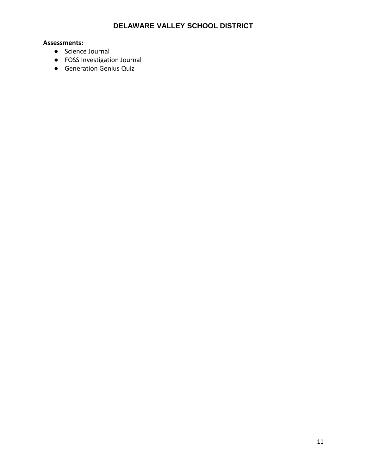- Science Journal
- FOSS Investigation Journal
- Generation Genius Quiz